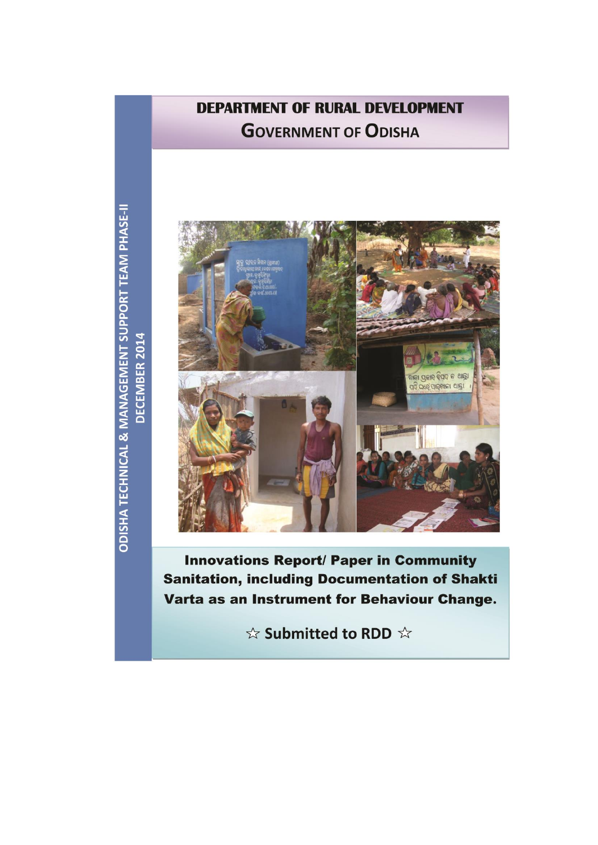# **DEPARTMENT OF RURAL DEVELOPMENT GOVERNMENT OF ODISHA**





**Innovations Report/ Paper in Community Sanitation, including Documentation of Shakti** Varta as an Instrument for Behaviour Change.

☆ Submitted to RDD ☆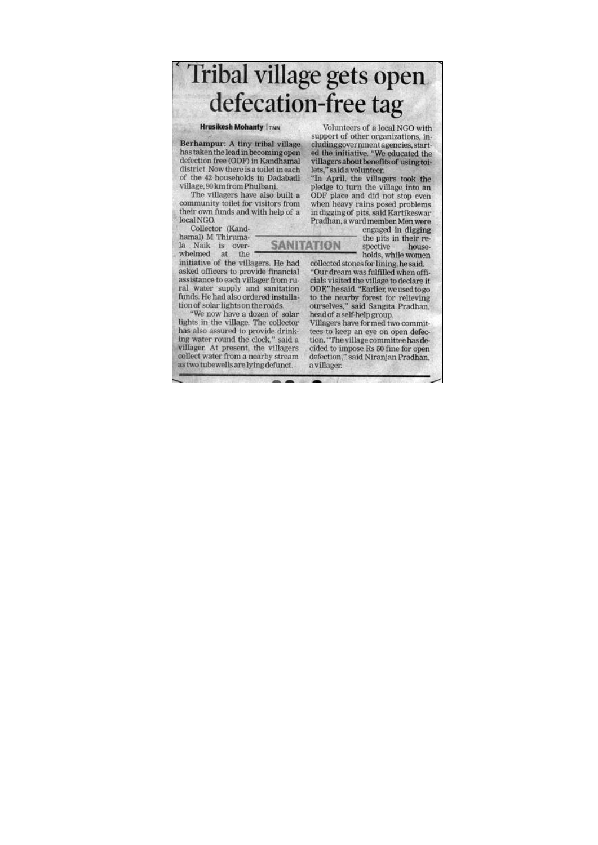Tribal village gets open defecation-free tag

**SANITATION** 

**Hrusikesh Mohanty TTNN** 

Berhampur: A tiny tribal village has taken the lead in becoming open defection free (ODF) in Kandhamal district. Now there is a toilet in each of the 42 households in Dadabadi village, 90 km from Phulbani.

The villagers have also built a community toilet for visitors from their own funds and with help of a local NGO.

Collector (Kandhamal) M Thiruma-

la Naik is overwhelmed at the

initiative of the villagers. He had asked officers to provide financial assistance to each villager from rural water supply and sanitation funds. He had also ordered installation of solar lights on the roads.

"We now have a dozen of solar lights in the village. The collector has also assured to provide drinking water round the clock," said a villager. At present, the villagers collect water from a nearby stream as two tubewells are lying defunct.

Volunteers of a local NGO with support of other organizations, including government agencies, started the initiative. "We educated the villagers about benefits of using toilets," said a volunteer.

"In April, the villagers took the pledge to turn the village into an<br>ODF place and did not stop even when heavy rains posed problems in digging of pits, said Kartikeswar Pradhan, a ward member. Men were

engaged in digging the pits in their respective house-

holds, while women collected stones for lining, he said. "Our dream was fulfilled when officials visited the village to declare it

ODF," he said. "Earlier, we used to go to the nearby forest for relieving ourselves," said Sangita Pradhan, head of a self-help group.

Villagers have formed two committees to keep an eye on open defection. "The village committee has decided to impose Rs 50 fine for open defection," said Niranjan Pradhan, a villager.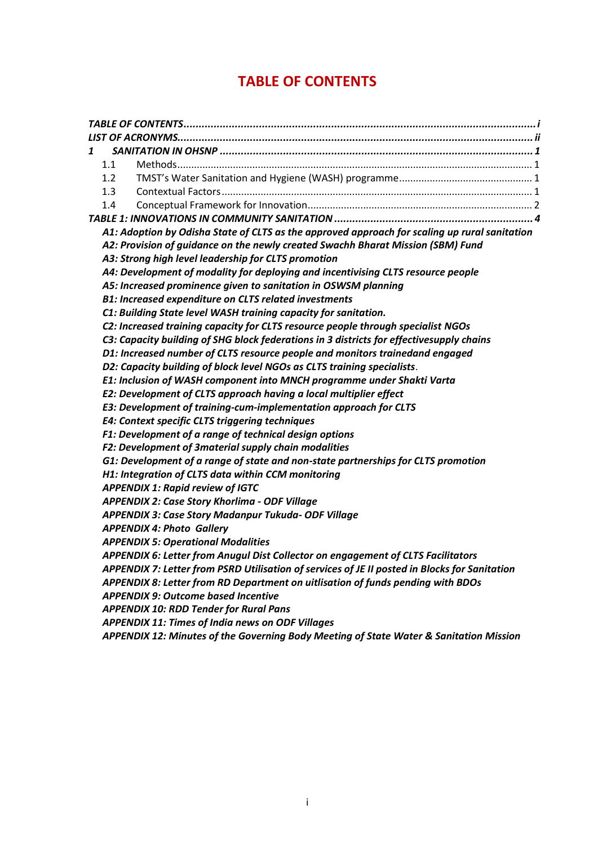## **TABLE OF CONTENTS**

<span id="page-2-0"></span>

| 1 |                                                                                               |
|---|-----------------------------------------------------------------------------------------------|
|   | 1.1                                                                                           |
|   | 1.2                                                                                           |
|   | 1.3                                                                                           |
|   | 1.4                                                                                           |
|   |                                                                                               |
|   | A1: Adoption by Odisha State of CLTS as the approved approach for scaling up rural sanitation |
|   | A2: Provision of guidance on the newly created Swachh Bharat Mission (SBM) Fund               |
|   | A3: Strong high level leadership for CLTS promotion                                           |
|   | A4: Development of modality for deploying and incentivising CLTS resource people              |
|   | A5: Increased prominence given to sanitation in OSWSM planning                                |
|   | <b>B1: Increased expenditure on CLTS related investments</b>                                  |
|   | C1: Building State level WASH training capacity for sanitation.                               |
|   | C2: Increased training capacity for CLTS resource people through specialist NGOs              |
|   | C3: Capacity building of SHG block federations in 3 districts for effectivesupply chains      |
|   | D1: Increased number of CLTS resource people and monitors trainedand engaged                  |
|   | D2: Capacity building of block level NGOs as CLTS training specialists.                       |
|   | E1: Inclusion of WASH component into MNCH programme under Shakti Varta                        |
|   | E2: Development of CLTS approach having a local multiplier effect                             |
|   | E3: Development of training-cum-implementation approach for CLTS                              |
|   | E4: Context specific CLTS triggering techniques                                               |
|   | F1: Development of a range of technical design options                                        |
|   | F2: Development of 3material supply chain modalities                                          |
|   | G1: Development of a range of state and non-state partnerships for CLTS promotion             |
|   | H1: Integration of CLTS data within CCM monitoring                                            |
|   | <b>APPENDIX 1: Rapid review of IGTC</b>                                                       |
|   | <b>APPENDIX 2: Case Story Khorlima - ODF Village</b>                                          |
|   | APPENDIX 3: Case Story Madanpur Tukuda- ODF Village                                           |
|   | <b>APPENDIX 4: Photo Gallery</b>                                                              |
|   | <b>APPENDIX 5: Operational Modalities</b>                                                     |
|   | APPENDIX 6: Letter from Anugul Dist Collector on engagement of CLTS Facilitators              |
|   | APPENDIX 7: Letter from PSRD Utilisation of services of JE II posted in Blocks for Sanitation |
|   | APPENDIX 8: Letter from RD Department on uitlisation of funds pending with BDOs               |
|   | <b>APPENDIX 9: Outcome based Incentive</b>                                                    |
|   | <b>APPENDIX 10: RDD Tender for Rural Pans</b>                                                 |
|   | <b>APPENDIX 11: Times of India news on ODF Villages</b>                                       |
|   | APPENDIX 12: Minutes of the Governing Body Meeting of State Water & Sanitation Mission        |
|   |                                                                                               |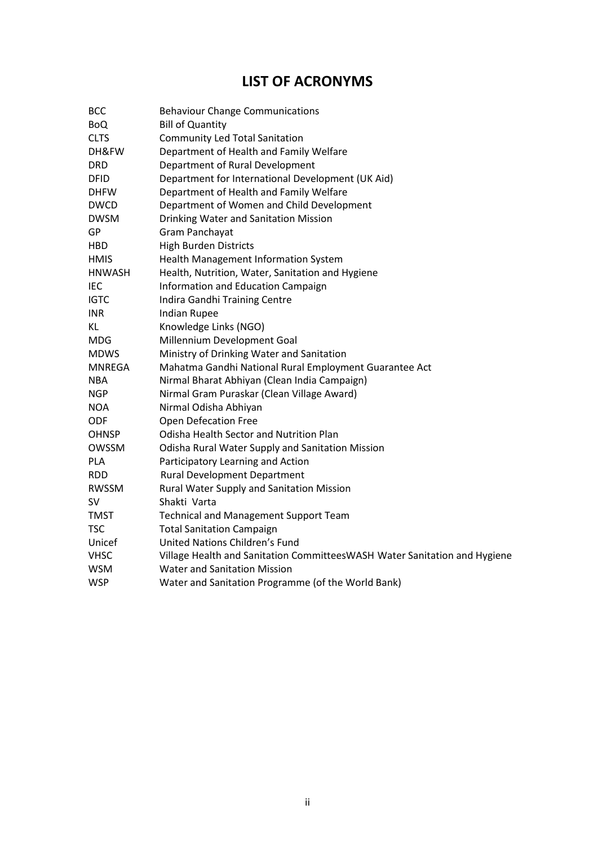## **LIST OF ACRONYMS**

<span id="page-3-0"></span>

| <b>BCC</b>    | <b>Behaviour Change Communications</b>                                    |
|---------------|---------------------------------------------------------------------------|
| <b>BoQ</b>    | <b>Bill of Quantity</b>                                                   |
| <b>CLTS</b>   | <b>Community Led Total Sanitation</b>                                     |
| DH&FW         | Department of Health and Family Welfare                                   |
| <b>DRD</b>    | Department of Rural Development                                           |
| <b>DFID</b>   | Department for International Development (UK Aid)                         |
| <b>DHFW</b>   | Department of Health and Family Welfare                                   |
| <b>DWCD</b>   | Department of Women and Child Development                                 |
| <b>DWSM</b>   | Drinking Water and Sanitation Mission                                     |
| GP            | Gram Panchayat                                                            |
| <b>HBD</b>    | <b>High Burden Districts</b>                                              |
| <b>HMIS</b>   | Health Management Information System                                      |
| <b>HNWASH</b> | Health, Nutrition, Water, Sanitation and Hygiene                          |
| IEC           | Information and Education Campaign                                        |
| <b>IGTC</b>   | Indira Gandhi Training Centre                                             |
| <b>INR</b>    | <b>Indian Rupee</b>                                                       |
| KL            | Knowledge Links (NGO)                                                     |
| <b>MDG</b>    | Millennium Development Goal                                               |
| <b>MDWS</b>   | Ministry of Drinking Water and Sanitation                                 |
| <b>MNREGA</b> | Mahatma Gandhi National Rural Employment Guarantee Act                    |
| <b>NBA</b>    | Nirmal Bharat Abhiyan (Clean India Campaign)                              |
| <b>NGP</b>    | Nirmal Gram Puraskar (Clean Village Award)                                |
| <b>NOA</b>    | Nirmal Odisha Abhiyan                                                     |
| <b>ODF</b>    | <b>Open Defecation Free</b>                                               |
| <b>OHNSP</b>  | Odisha Health Sector and Nutrition Plan                                   |
| OWSSM         | Odisha Rural Water Supply and Sanitation Mission                          |
| <b>PLA</b>    | Participatory Learning and Action                                         |
| <b>RDD</b>    | <b>Rural Development Department</b>                                       |
| <b>RWSSM</b>  | Rural Water Supply and Sanitation Mission                                 |
| <b>SV</b>     | Shakti Varta                                                              |
| TMST          | <b>Technical and Management Support Team</b>                              |
| <b>TSC</b>    | <b>Total Sanitation Campaign</b>                                          |
| Unicef        | United Nations Children's Fund                                            |
| <b>VHSC</b>   | Village Health and Sanitation CommitteesWASH Water Sanitation and Hygiene |
| <b>WSM</b>    | <b>Water and Sanitation Mission</b>                                       |
| <b>WSP</b>    | Water and Sanitation Programme (of the World Bank)                        |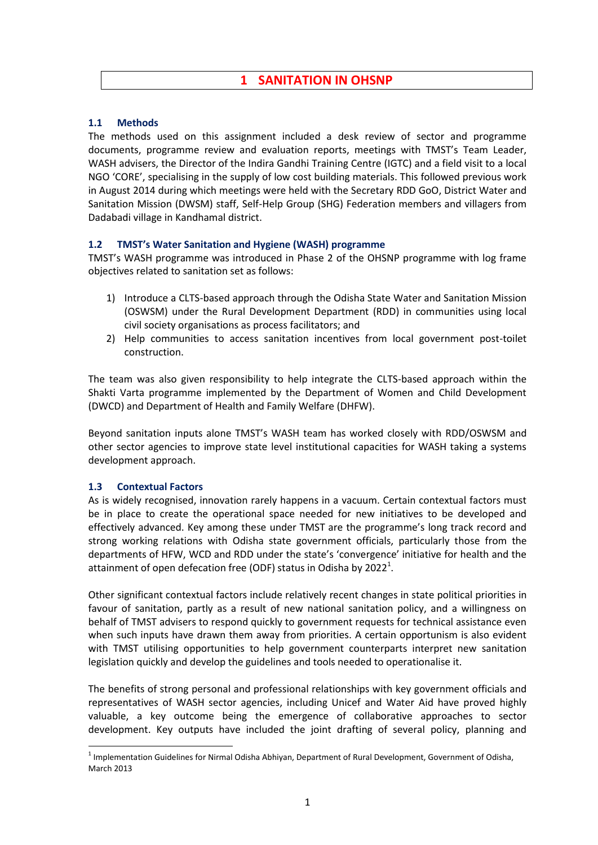### **1 SANITATION IN OHSNP**

#### <span id="page-4-1"></span><span id="page-4-0"></span>**1.1 Methods**

The methods used on this assignment included a desk review of sector and programme documents, programme review and evaluation reports, meetings with TMST's Team Leader, WASH advisers, the Director of the Indira Gandhi Training Centre (IGTC) and a field visit to a local NGO 'CORE', specialising in the supply of low cost building materials. This followed previous work in August 2014 during which meetings were held with the Secretary RDD GoO, District Water and Sanitation Mission (DWSM) staff, Self-Help Group (SHG) Federation members and villagers from Dadabadi village in Kandhamal district.

#### <span id="page-4-2"></span>**1.2 TMST's Water Sanitation and Hygiene (WASH) programme**

TMST's WASH programme was introduced in Phase 2 of the OHSNP programme with log frame objectives related to sanitation set as follows:

- 1) Introduce a CLTS-based approach through the Odisha State Water and Sanitation Mission (OSWSM) under the Rural Development Department (RDD) in communities using local civil society organisations as process facilitators; and
- 2) Help communities to access sanitation incentives from local government post-toilet construction.

The team was also given responsibility to help integrate the CLTS-based approach within the Shakti Varta programme implemented by the Department of Women and Child Development (DWCD) and Department of Health and Family Welfare (DHFW).

Beyond sanitation inputs alone TMST's WASH team has worked closely with RDD/OSWSM and other sector agencies to improve state level institutional capacities for WASH taking a systems development approach.

#### <span id="page-4-3"></span>**1.3 Contextual Factors**

 $\overline{\phantom{a}}$ 

As is widely recognised, innovation rarely happens in a vacuum. Certain contextual factors must be in place to create the operational space needed for new initiatives to be developed and effectively advanced. Key among these under TMST are the programme's long track record and strong working relations with Odisha state government officials, particularly those from the departments of HFW, WCD and RDD under the state's 'convergence' initiative for health and the attainment of open defecation free (ODF) status in Odisha by 2022<sup>1</sup>.

Other significant contextual factors include relatively recent changes in state political priorities in favour of sanitation, partly as a result of new national sanitation policy, and a willingness on behalf of TMST advisers to respond quickly to government requests for technical assistance even when such inputs have drawn them away from priorities. A certain opportunism is also evident with TMST utilising opportunities to help government counterparts interpret new sanitation legislation quickly and develop the guidelines and tools needed to operationalise it.

The benefits of strong personal and professional relationships with key government officials and representatives of WASH sector agencies, including Unicef and Water Aid have proved highly valuable, a key outcome being the emergence of collaborative approaches to sector development. Key outputs have included the joint drafting of several policy, planning and

 $<sup>1</sup>$  Implementation Guidelines for Nirmal Odisha Abhiyan, Department of Rural Development, Government of Odisha,</sup> March 2013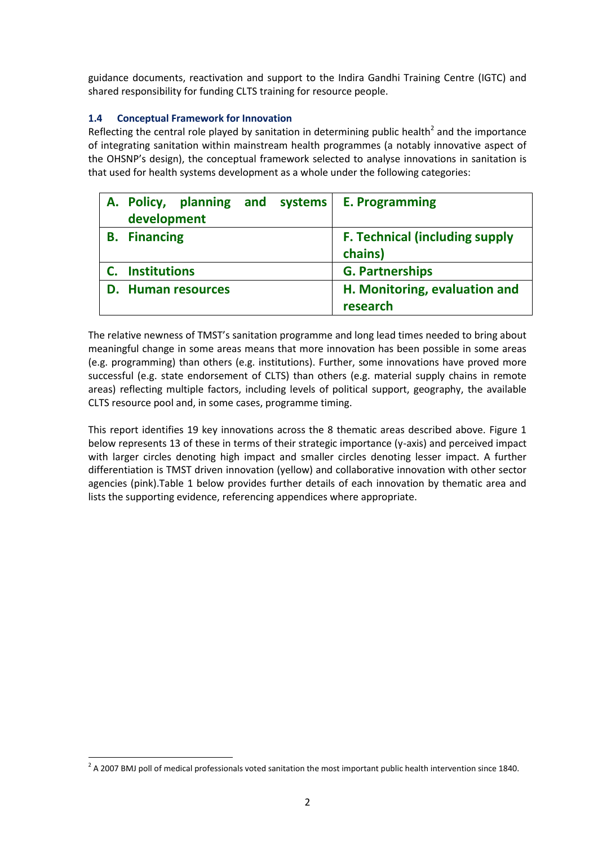guidance documents, reactivation and support to the Indira Gandhi Training Centre (IGTC) and shared responsibility for funding CLTS training for resource people.

### <span id="page-5-0"></span>**1.4 Conceptual Framework for Innovation**

Reflecting the central role played by sanitation in determining public health<sup>2</sup> and the importance of integrating sanitation within mainstream health programmes (a notably innovative aspect of the OHSNP's design), the conceptual framework selected to analyse innovations in sanitation is that used for health systems development as a whole under the following categories:

|                     | A. Policy, planning and systems |  | <b>E. Programming</b>                 |
|---------------------|---------------------------------|--|---------------------------------------|
| development         |                                 |  |                                       |
| <b>B.</b> Financing |                                 |  | <b>F. Technical (including supply</b> |
|                     |                                 |  | chains)                               |
| <b>Institutions</b> |                                 |  | <b>G. Partnerships</b>                |
|                     | <b>D.</b> Human resources       |  | H. Monitoring, evaluation and         |
|                     |                                 |  | research                              |

The relative newness of TMST's sanitation programme and long lead times needed to bring about meaningful change in some areas means that more innovation has been possible in some areas (e.g. programming) than others (e.g. institutions). Further, some innovations have proved more successful (e.g. state endorsement of CLTS) than others (e.g. material supply chains in remote areas) reflecting multiple factors, including levels of political support, geography, the available CLTS resource pool and, in some cases, programme timing.

This report identifies 19 key innovations across the 8 thematic areas described above. Figure 1 below represents 13 of these in terms of their strategic importance (y-axis) and perceived impact with larger circles denoting high impact and smaller circles denoting lesser impact. A further differentiation is TMST driven innovation (yellow) and collaborative innovation with other sector agencies (pink).Table 1 below provides further details of each innovation by thematic area and lists the supporting evidence, referencing appendices where appropriate.

 2 A 2007 BMJ poll of medical professionals voted sanitation the most important public health intervention since 1840.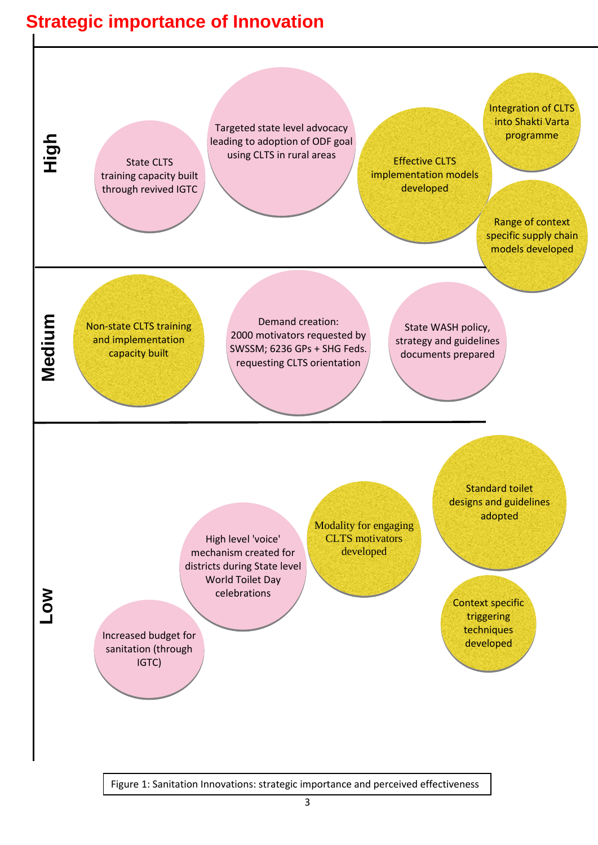# **Strategic importance of Innovation**



Figure 1: Sanitation Innovations: strategic importance and perceived effectiveness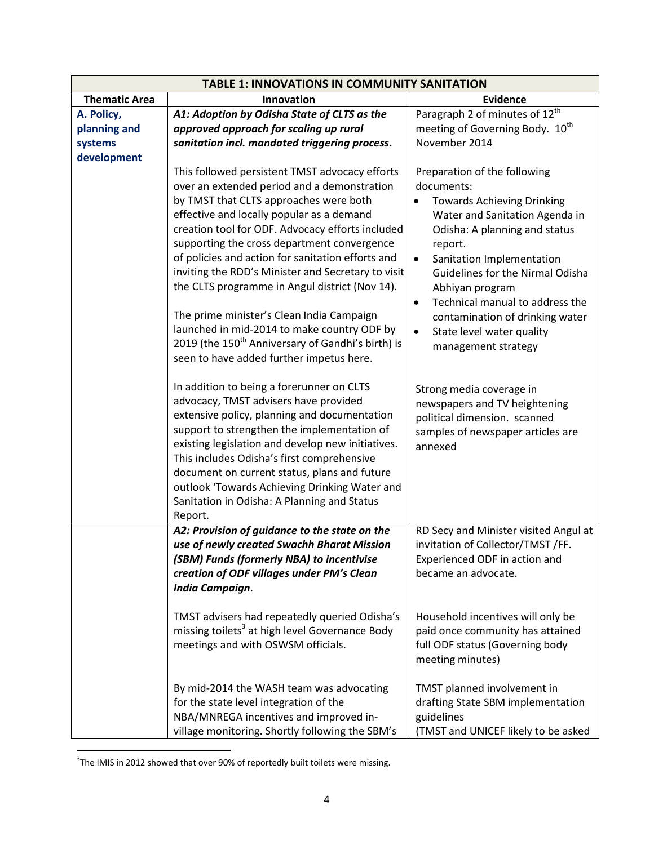<span id="page-7-0"></span>

| <b>TABLE 1: INNOVATIONS IN COMMUNITY SANITATION</b> |                                                                                                                                                                                                                                                                                                                                                                                                                                                                                                                                                                                                                                                                                                                                                                                                                                                                                                                                                       |                                                                                                                                                                                                                                                                                                                                                                                                                                                                                                                                                                              |  |  |
|-----------------------------------------------------|-------------------------------------------------------------------------------------------------------------------------------------------------------------------------------------------------------------------------------------------------------------------------------------------------------------------------------------------------------------------------------------------------------------------------------------------------------------------------------------------------------------------------------------------------------------------------------------------------------------------------------------------------------------------------------------------------------------------------------------------------------------------------------------------------------------------------------------------------------------------------------------------------------------------------------------------------------|------------------------------------------------------------------------------------------------------------------------------------------------------------------------------------------------------------------------------------------------------------------------------------------------------------------------------------------------------------------------------------------------------------------------------------------------------------------------------------------------------------------------------------------------------------------------------|--|--|
| <b>Thematic Area</b>                                | Innovation                                                                                                                                                                                                                                                                                                                                                                                                                                                                                                                                                                                                                                                                                                                                                                                                                                                                                                                                            | <b>Evidence</b>                                                                                                                                                                                                                                                                                                                                                                                                                                                                                                                                                              |  |  |
| A. Policy,                                          | A1: Adoption by Odisha State of CLTS as the                                                                                                                                                                                                                                                                                                                                                                                                                                                                                                                                                                                                                                                                                                                                                                                                                                                                                                           | Paragraph 2 of minutes of $12^{\text{th}}$                                                                                                                                                                                                                                                                                                                                                                                                                                                                                                                                   |  |  |
| planning and                                        | approved approach for scaling up rural                                                                                                                                                                                                                                                                                                                                                                                                                                                                                                                                                                                                                                                                                                                                                                                                                                                                                                                | meeting of Governing Body. 10 <sup>th</sup>                                                                                                                                                                                                                                                                                                                                                                                                                                                                                                                                  |  |  |
| systems                                             | sanitation incl. mandated triggering process.                                                                                                                                                                                                                                                                                                                                                                                                                                                                                                                                                                                                                                                                                                                                                                                                                                                                                                         | November 2014                                                                                                                                                                                                                                                                                                                                                                                                                                                                                                                                                                |  |  |
| development                                         | This followed persistent TMST advocacy efforts<br>over an extended period and a demonstration<br>by TMST that CLTS approaches were both<br>effective and locally popular as a demand<br>creation tool for ODF. Advocacy efforts included<br>supporting the cross department convergence<br>of policies and action for sanitation efforts and<br>inviting the RDD's Minister and Secretary to visit<br>the CLTS programme in Angul district (Nov 14).<br>The prime minister's Clean India Campaign<br>launched in mid-2014 to make country ODF by<br>2019 (the 150 <sup>th</sup> Anniversary of Gandhi's birth) is<br>seen to have added further impetus here.<br>In addition to being a forerunner on CLTS<br>advocacy, TMST advisers have provided<br>extensive policy, planning and documentation<br>support to strengthen the implementation of<br>existing legislation and develop new initiatives.<br>This includes Odisha's first comprehensive | Preparation of the following<br>documents:<br><b>Towards Achieving Drinking</b><br>$\bullet$<br>Water and Sanitation Agenda in<br>Odisha: A planning and status<br>report.<br>Sanitation Implementation<br>$\bullet$<br>Guidelines for the Nirmal Odisha<br>Abhiyan program<br>Technical manual to address the<br>$\bullet$<br>contamination of drinking water<br>$\bullet$<br>State level water quality<br>management strategy<br>Strong media coverage in<br>newspapers and TV heightening<br>political dimension. scanned<br>samples of newspaper articles are<br>annexed |  |  |
|                                                     | document on current status, plans and future<br>outlook 'Towards Achieving Drinking Water and<br>Sanitation in Odisha: A Planning and Status<br>Report.                                                                                                                                                                                                                                                                                                                                                                                                                                                                                                                                                                                                                                                                                                                                                                                               |                                                                                                                                                                                                                                                                                                                                                                                                                                                                                                                                                                              |  |  |
|                                                     | A2: Provision of guidance to the state on the<br>use of newly created Swachh Bharat Mission<br>(SBM) Funds (formerly NBA) to incentivise<br>creation of ODF villages under PM's Clean<br>India Campaign.                                                                                                                                                                                                                                                                                                                                                                                                                                                                                                                                                                                                                                                                                                                                              | RD Secy and Minister visited Angul at<br>invitation of Collector/TMST /FF.<br>Experienced ODF in action and<br>became an advocate.                                                                                                                                                                                                                                                                                                                                                                                                                                           |  |  |
|                                                     | TMST advisers had repeatedly queried Odisha's<br>missing toilets <sup>3</sup> at high level Governance Body<br>meetings and with OSWSM officials.                                                                                                                                                                                                                                                                                                                                                                                                                                                                                                                                                                                                                                                                                                                                                                                                     | Household incentives will only be<br>paid once community has attained<br>full ODF status (Governing body<br>meeting minutes)                                                                                                                                                                                                                                                                                                                                                                                                                                                 |  |  |
|                                                     | By mid-2014 the WASH team was advocating<br>for the state level integration of the<br>NBA/MNREGA incentives and improved in-<br>village monitoring. Shortly following the SBM's                                                                                                                                                                                                                                                                                                                                                                                                                                                                                                                                                                                                                                                                                                                                                                       | TMST planned involvement in<br>drafting State SBM implementation<br>guidelines<br>(TMST and UNICEF likely to be asked                                                                                                                                                                                                                                                                                                                                                                                                                                                        |  |  |

 3 The IMIS in 2012 showed that over 90% of reportedly built toilets were missing.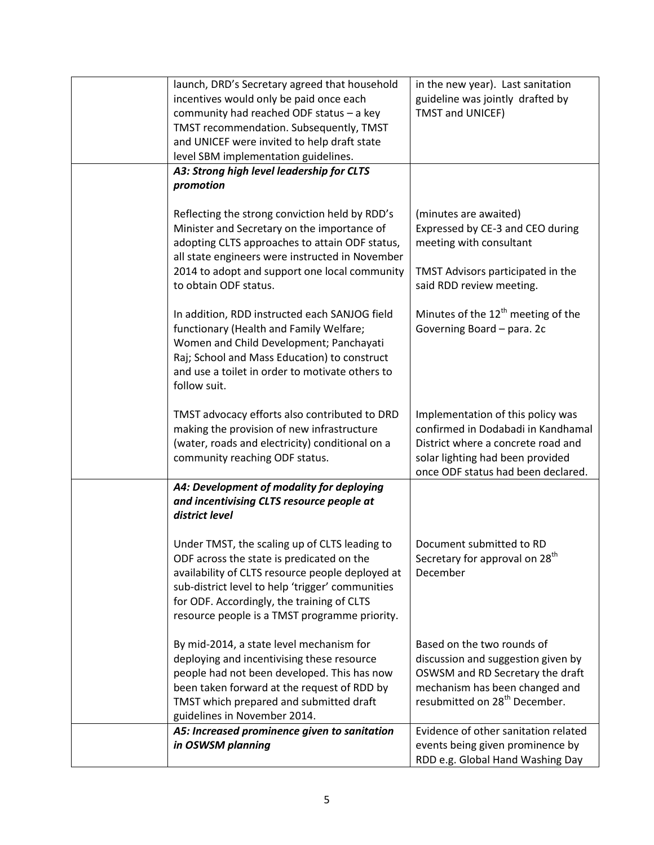| launch, DRD's Secretary agreed that household    | in the new year). Last sanitation              |
|--------------------------------------------------|------------------------------------------------|
| incentives would only be paid once each          | guideline was jointly drafted by               |
| community had reached ODF status - a key         | <b>TMST and UNICEF)</b>                        |
| TMST recommendation. Subsequently, TMST          |                                                |
| and UNICEF were invited to help draft state      |                                                |
|                                                  |                                                |
| level SBM implementation guidelines.             |                                                |
| A3: Strong high level leadership for CLTS        |                                                |
| promotion                                        |                                                |
|                                                  |                                                |
| Reflecting the strong conviction held by RDD's   | (minutes are awaited)                          |
| Minister and Secretary on the importance of      | Expressed by CE-3 and CEO during               |
| adopting CLTS approaches to attain ODF status,   | meeting with consultant                        |
| all state engineers were instructed in November  |                                                |
| 2014 to adopt and support one local community    | TMST Advisors participated in the              |
| to obtain ODF status.                            | said RDD review meeting.                       |
|                                                  |                                                |
| In addition, RDD instructed each SANJOG field    | Minutes of the 12 <sup>th</sup> meeting of the |
| functionary (Health and Family Welfare;          | Governing Board - para. 2c                     |
| Women and Child Development; Panchayati          |                                                |
| Raj; School and Mass Education) to construct     |                                                |
| and use a toilet in order to motivate others to  |                                                |
| follow suit.                                     |                                                |
|                                                  |                                                |
| TMST advocacy efforts also contributed to DRD    | Implementation of this policy was              |
| making the provision of new infrastructure       | confirmed in Dodabadi in Kandhamal             |
| (water, roads and electricity) conditional on a  | District where a concrete road and             |
| community reaching ODF status.                   | solar lighting had been provided               |
|                                                  | once ODF status had been declared.             |
| A4: Development of modality for deploying        |                                                |
| and incentivising CLTS resource people at        |                                                |
| district level                                   |                                                |
|                                                  |                                                |
| Under TMST, the scaling up of CLTS leading to    | Document submitted to RD                       |
| ODF across the state is predicated on the        | Secretary for approval on 28 <sup>th</sup>     |
| availability of CLTS resource people deployed at | December                                       |
| sub-district level to help 'trigger' communities |                                                |
| for ODF. Accordingly, the training of CLTS       |                                                |
| resource people is a TMST programme priority.    |                                                |
|                                                  |                                                |
| By mid-2014, a state level mechanism for         | Based on the two rounds of                     |
| deploying and incentivising these resource       | discussion and suggestion given by             |
| people had not been developed. This has now      | OSWSM and RD Secretary the draft               |
| been taken forward at the request of RDD by      | mechanism has been changed and                 |
| TMST which prepared and submitted draft          | resubmitted on 28 <sup>th</sup> December.      |
| guidelines in November 2014.                     |                                                |
| A5: Increased prominence given to sanitation     | Evidence of other sanitation related           |
| in OSWSM planning                                | events being given prominence by               |
|                                                  | RDD e.g. Global Hand Washing Day               |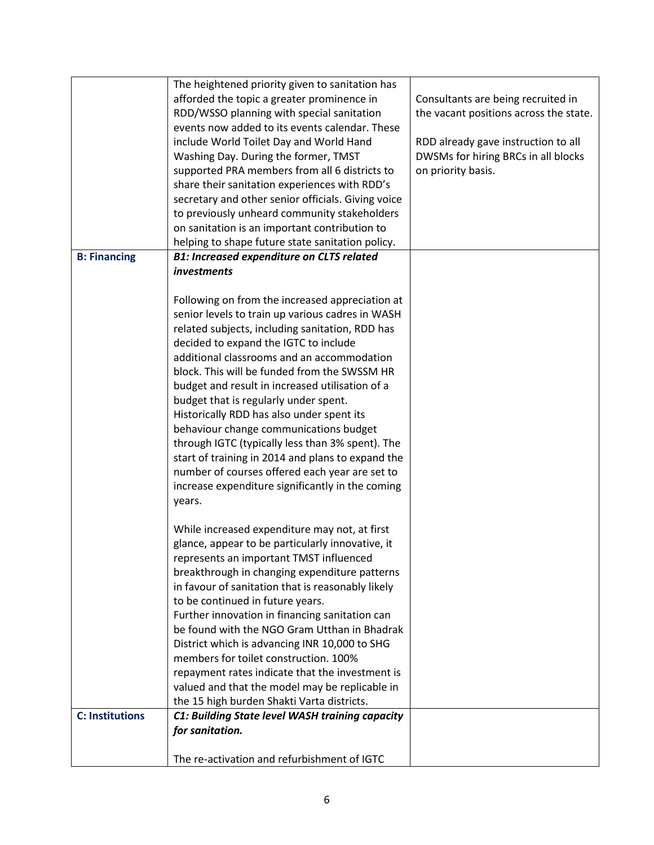|                        | The heightened priority given to sanitation has    |                                        |
|------------------------|----------------------------------------------------|----------------------------------------|
|                        | afforded the topic a greater prominence in         | Consultants are being recruited in     |
|                        | RDD/WSSO planning with special sanitation          | the vacant positions across the state. |
|                        | events now added to its events calendar. These     |                                        |
|                        | include World Toilet Day and World Hand            | RDD already gave instruction to all    |
|                        | Washing Day. During the former, TMST               | DWSMs for hiring BRCs in all blocks    |
|                        | supported PRA members from all 6 districts to      | on priority basis.                     |
|                        | share their sanitation experiences with RDD's      |                                        |
|                        | secretary and other senior officials. Giving voice |                                        |
|                        | to previously unheard community stakeholders       |                                        |
|                        | on sanitation is an important contribution to      |                                        |
|                        | helping to shape future state sanitation policy.   |                                        |
| <b>B: Financing</b>    | <b>B1: Increased expenditure on CLTS related</b>   |                                        |
|                        | investments                                        |                                        |
|                        |                                                    |                                        |
|                        | Following on from the increased appreciation at    |                                        |
|                        | senior levels to train up various cadres in WASH   |                                        |
|                        | related subjects, including sanitation, RDD has    |                                        |
|                        | decided to expand the IGTC to include              |                                        |
|                        | additional classrooms and an accommodation         |                                        |
|                        | block. This will be funded from the SWSSM HR       |                                        |
|                        | budget and result in increased utilisation of a    |                                        |
|                        | budget that is regularly under spent.              |                                        |
|                        | Historically RDD has also under spent its          |                                        |
|                        | behaviour change communications budget             |                                        |
|                        | through IGTC (typically less than 3% spent). The   |                                        |
|                        | start of training in 2014 and plans to expand the  |                                        |
|                        | number of courses offered each year are set to     |                                        |
|                        | increase expenditure significantly in the coming   |                                        |
|                        | years.                                             |                                        |
|                        |                                                    |                                        |
|                        | While increased expenditure may not, at first      |                                        |
|                        | glance, appear to be particularly innovative, it   |                                        |
|                        | represents an important TMST influenced            |                                        |
|                        | breakthrough in changing expenditure patterns      |                                        |
|                        | in favour of sanitation that is reasonably likely  |                                        |
|                        | to be continued in future years.                   |                                        |
|                        | Further innovation in financing sanitation can     |                                        |
|                        | be found with the NGO Gram Utthan in Bhadrak       |                                        |
|                        | District which is advancing INR 10,000 to SHG      |                                        |
|                        | members for toilet construction. 100%              |                                        |
|                        | repayment rates indicate that the investment is    |                                        |
|                        | valued and that the model may be replicable in     |                                        |
|                        | the 15 high burden Shakti Varta districts.         |                                        |
| <b>C: Institutions</b> | C1: Building State level WASH training capacity    |                                        |
|                        | for sanitation.                                    |                                        |
|                        |                                                    |                                        |
|                        | The re-activation and refurbishment of IGTC        |                                        |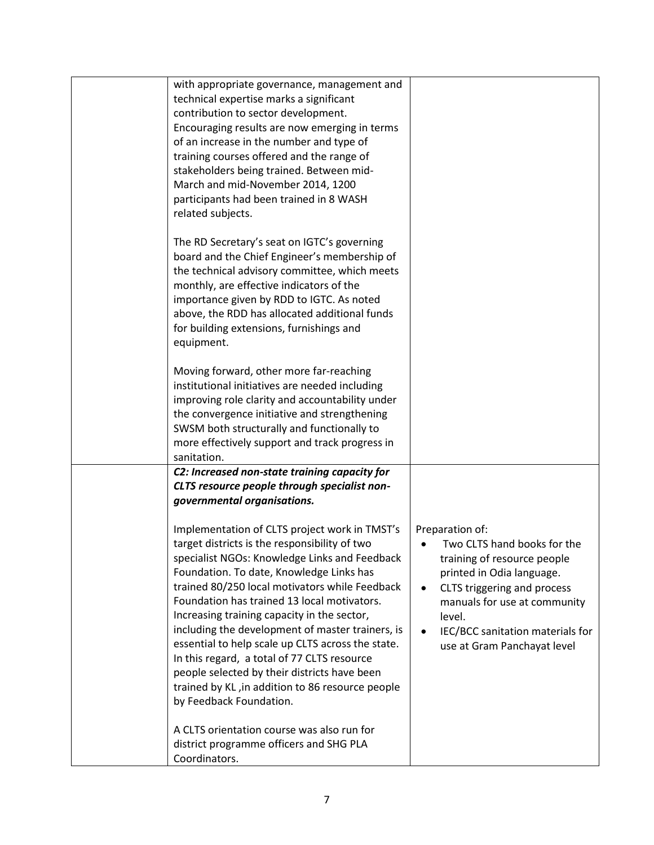| with appropriate governance, management and<br>technical expertise marks a significant<br>contribution to sector development.<br>Encouraging results are now emerging in terms<br>of an increase in the number and type of<br>training courses offered and the range of<br>stakeholders being trained. Between mid-<br>March and mid-November 2014, 1200<br>participants had been trained in 8 WASH                                                                                                                                                                                                                                |                                                                                                                                                                                                                                                        |
|------------------------------------------------------------------------------------------------------------------------------------------------------------------------------------------------------------------------------------------------------------------------------------------------------------------------------------------------------------------------------------------------------------------------------------------------------------------------------------------------------------------------------------------------------------------------------------------------------------------------------------|--------------------------------------------------------------------------------------------------------------------------------------------------------------------------------------------------------------------------------------------------------|
| related subjects.<br>The RD Secretary's seat on IGTC's governing<br>board and the Chief Engineer's membership of<br>the technical advisory committee, which meets<br>monthly, are effective indicators of the<br>importance given by RDD to IGTC. As noted<br>above, the RDD has allocated additional funds<br>for building extensions, furnishings and<br>equipment.                                                                                                                                                                                                                                                              |                                                                                                                                                                                                                                                        |
| Moving forward, other more far-reaching<br>institutional initiatives are needed including<br>improving role clarity and accountability under<br>the convergence initiative and strengthening<br>SWSM both structurally and functionally to<br>more effectively support and track progress in<br>sanitation.                                                                                                                                                                                                                                                                                                                        |                                                                                                                                                                                                                                                        |
| C2: Increased non-state training capacity for<br>CLTS resource people through specialist non-<br>governmental organisations.                                                                                                                                                                                                                                                                                                                                                                                                                                                                                                       |                                                                                                                                                                                                                                                        |
| Implementation of CLTS project work in TMST's<br>target districts is the responsibility of two<br>specialist NGOs: Knowledge Links and Feedback<br>Foundation. To date, Knowledge Links has<br>trained 80/250 local motivators while Feedback<br>Foundation has trained 13 local motivators.<br>Increasing training capacity in the sector,<br>including the development of master trainers, is<br>essential to help scale up CLTS across the state.<br>In this regard, a total of 77 CLTS resource<br>people selected by their districts have been<br>trained by KL, in addition to 86 resource people<br>by Feedback Foundation. | Preparation of:<br>Two CLTS hand books for the<br>training of resource people<br>printed in Odia language.<br>CLTS triggering and process<br>manuals for use at community<br>level.<br>IEC/BCC sanitation materials for<br>use at Gram Panchayat level |
| A CLTS orientation course was also run for<br>district programme officers and SHG PLA<br>Coordinators.                                                                                                                                                                                                                                                                                                                                                                                                                                                                                                                             |                                                                                                                                                                                                                                                        |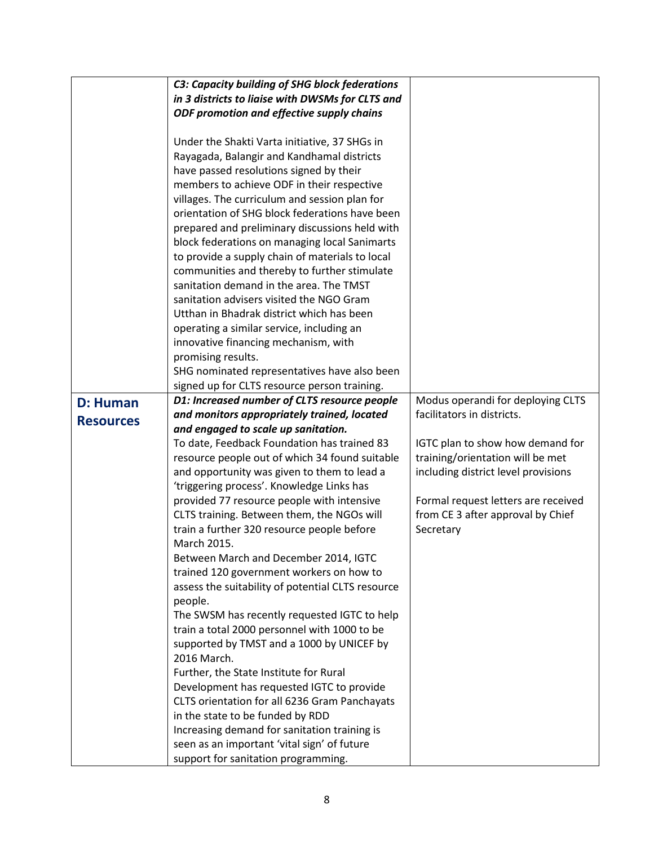|                  | C3: Capacity building of SHG block federations                                     |                                     |
|------------------|------------------------------------------------------------------------------------|-------------------------------------|
|                  | in 3 districts to liaise with DWSMs for CLTS and                                   |                                     |
|                  | ODF promotion and effective supply chains                                          |                                     |
|                  |                                                                                    |                                     |
|                  | Under the Shakti Varta initiative, 37 SHGs in                                      |                                     |
|                  | Rayagada, Balangir and Kandhamal districts                                         |                                     |
|                  | have passed resolutions signed by their                                            |                                     |
|                  | members to achieve ODF in their respective                                         |                                     |
|                  | villages. The curriculum and session plan for                                      |                                     |
|                  | orientation of SHG block federations have been                                     |                                     |
|                  | prepared and preliminary discussions held with                                     |                                     |
|                  | block federations on managing local Sanimarts                                      |                                     |
|                  | to provide a supply chain of materials to local                                    |                                     |
|                  | communities and thereby to further stimulate                                       |                                     |
|                  | sanitation demand in the area. The TMST                                            |                                     |
|                  | sanitation advisers visited the NGO Gram                                           |                                     |
|                  | Utthan in Bhadrak district which has been                                          |                                     |
|                  | operating a similar service, including an                                          |                                     |
|                  | innovative financing mechanism, with<br>promising results.                         |                                     |
|                  | SHG nominated representatives have also been                                       |                                     |
|                  | signed up for CLTS resource person training.                                       |                                     |
| <b>D: Human</b>  | D1: Increased number of CLTS resource people                                       | Modus operandi for deploying CLTS   |
|                  | and monitors appropriately trained, located                                        | facilitators in districts.          |
| <b>Resources</b> | and engaged to scale up sanitation.                                                |                                     |
|                  | To date, Feedback Foundation has trained 83                                        | IGTC plan to show how demand for    |
|                  | resource people out of which 34 found suitable                                     | training/orientation will be met    |
|                  | and opportunity was given to them to lead a                                        | including district level provisions |
|                  | 'triggering process'. Knowledge Links has                                          |                                     |
|                  | provided 77 resource people with intensive                                         | Formal request letters are received |
|                  | CLTS training. Between them, the NGOs will                                         | from CE 3 after approval by Chief   |
|                  | train a further 320 resource people before                                         | Secretary                           |
|                  | March 2015.                                                                        |                                     |
|                  | Between March and December 2014, IGTC                                              |                                     |
|                  | trained 120 government workers on how to                                           |                                     |
|                  | assess the suitability of potential CLTS resource<br>people.                       |                                     |
|                  | The SWSM has recently requested IGTC to help                                       |                                     |
|                  | train a total 2000 personnel with 1000 to be                                       |                                     |
|                  | supported by TMST and a 1000 by UNICEF by                                          |                                     |
|                  | 2016 March.                                                                        |                                     |
|                  | Further, the State Institute for Rural                                             |                                     |
|                  | Development has requested IGTC to provide                                          |                                     |
|                  |                                                                                    |                                     |
|                  | CLTS orientation for all 6236 Gram Panchayats                                      |                                     |
|                  | in the state to be funded by RDD                                                   |                                     |
|                  | Increasing demand for sanitation training is                                       |                                     |
|                  | seen as an important 'vital sign' of future<br>support for sanitation programming. |                                     |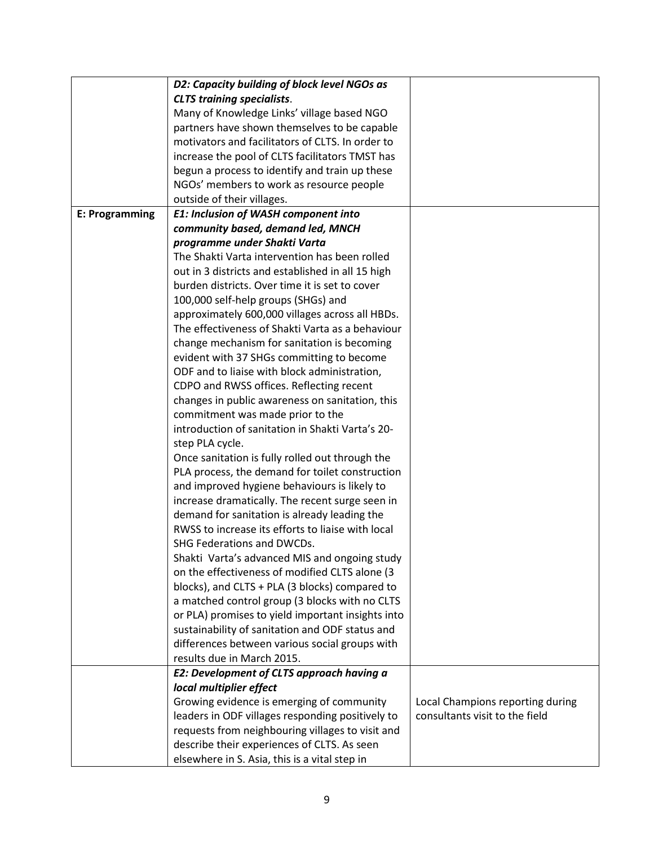|                | D2: Capacity building of block level NGOs as      |                                  |
|----------------|---------------------------------------------------|----------------------------------|
|                | <b>CLTS training specialists.</b>                 |                                  |
|                | Many of Knowledge Links' village based NGO        |                                  |
|                | partners have shown themselves to be capable      |                                  |
|                | motivators and facilitators of CLTS. In order to  |                                  |
|                | increase the pool of CLTS facilitators TMST has   |                                  |
|                | begun a process to identify and train up these    |                                  |
|                | NGOs' members to work as resource people          |                                  |
|                | outside of their villages.                        |                                  |
| E: Programming | E1: Inclusion of WASH component into              |                                  |
|                | community based, demand led, MNCH                 |                                  |
|                | programme under Shakti Varta                      |                                  |
|                | The Shakti Varta intervention has been rolled     |                                  |
|                | out in 3 districts and established in all 15 high |                                  |
|                | burden districts. Over time it is set to cover    |                                  |
|                | 100,000 self-help groups (SHGs) and               |                                  |
|                | approximately 600,000 villages across all HBDs.   |                                  |
|                | The effectiveness of Shakti Varta as a behaviour  |                                  |
|                | change mechanism for sanitation is becoming       |                                  |
|                | evident with 37 SHGs committing to become         |                                  |
|                | ODF and to liaise with block administration,      |                                  |
|                | CDPO and RWSS offices. Reflecting recent          |                                  |
|                | changes in public awareness on sanitation, this   |                                  |
|                | commitment was made prior to the                  |                                  |
|                | introduction of sanitation in Shakti Varta's 20-  |                                  |
|                | step PLA cycle.                                   |                                  |
|                | Once sanitation is fully rolled out through the   |                                  |
|                | PLA process, the demand for toilet construction   |                                  |
|                | and improved hygiene behaviours is likely to      |                                  |
|                | increase dramatically. The recent surge seen in   |                                  |
|                | demand for sanitation is already leading the      |                                  |
|                | RWSS to increase its efforts to liaise with local |                                  |
|                | SHG Federations and DWCDs.                        |                                  |
|                | Shakti Varta's advanced MIS and ongoing study     |                                  |
|                | on the effectiveness of modified CLTS alone (3    |                                  |
|                | blocks), and CLTS + PLA (3 blocks) compared to    |                                  |
|                | a matched control group (3 blocks with no CLTS    |                                  |
|                | or PLA) promises to yield important insights into |                                  |
|                | sustainability of sanitation and ODF status and   |                                  |
|                | differences between various social groups with    |                                  |
|                | results due in March 2015.                        |                                  |
|                | <b>E2: Development of CLTS approach having a</b>  |                                  |
|                | local multiplier effect                           |                                  |
|                | Growing evidence is emerging of community         | Local Champions reporting during |
|                | leaders in ODF villages responding positively to  | consultants visit to the field   |
|                | requests from neighbouring villages to visit and  |                                  |
|                | describe their experiences of CLTS. As seen       |                                  |
|                | elsewhere in S. Asia, this is a vital step in     |                                  |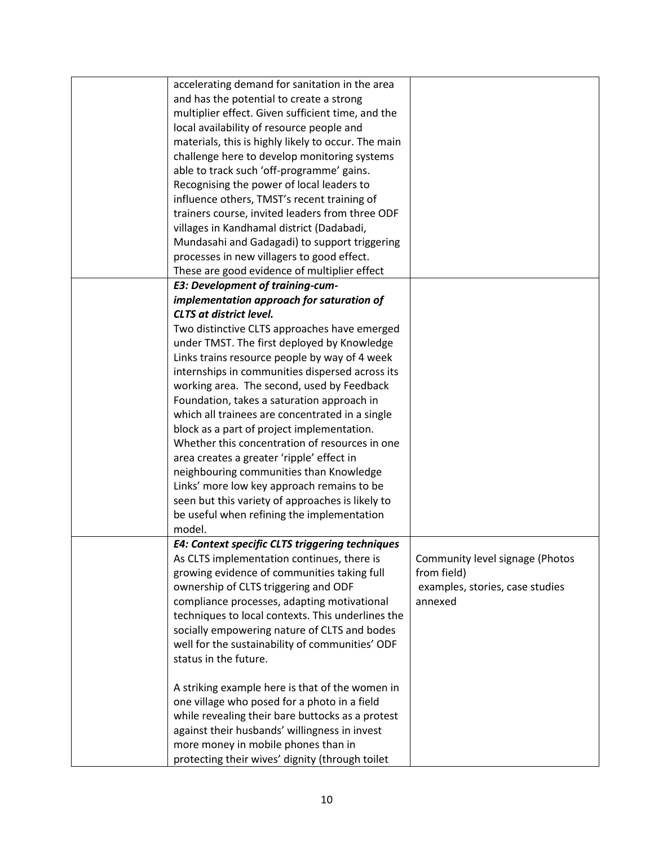| accelerating demand for sanitation in the area      |                                 |
|-----------------------------------------------------|---------------------------------|
| and has the potential to create a strong            |                                 |
| multiplier effect. Given sufficient time, and the   |                                 |
| local availability of resource people and           |                                 |
| materials, this is highly likely to occur. The main |                                 |
| challenge here to develop monitoring systems        |                                 |
| able to track such 'off-programme' gains.           |                                 |
| Recognising the power of local leaders to           |                                 |
| influence others, TMST's recent training of         |                                 |
| trainers course, invited leaders from three ODF     |                                 |
| villages in Kandhamal district (Dadabadi,           |                                 |
| Mundasahi and Gadagadi) to support triggering       |                                 |
| processes in new villagers to good effect.          |                                 |
| These are good evidence of multiplier effect        |                                 |
| <b>E3: Development of training-cum-</b>             |                                 |
| implementation approach for saturation of           |                                 |
| <b>CLTS at district level.</b>                      |                                 |
| Two distinctive CLTS approaches have emerged        |                                 |
| under TMST. The first deployed by Knowledge         |                                 |
| Links trains resource people by way of 4 week       |                                 |
| internships in communities dispersed across its     |                                 |
| working area. The second, used by Feedback          |                                 |
| Foundation, takes a saturation approach in          |                                 |
| which all trainees are concentrated in a single     |                                 |
| block as a part of project implementation.          |                                 |
| Whether this concentration of resources in one      |                                 |
| area creates a greater 'ripple' effect in           |                                 |
| neighbouring communities than Knowledge             |                                 |
| Links' more low key approach remains to be          |                                 |
| seen but this variety of approaches is likely to    |                                 |
| be useful when refining the implementation          |                                 |
| model.                                              |                                 |
| E4: Context specific CLTS triggering techniques     |                                 |
| As CLTS implementation continues, there is          | Community level signage (Photos |
| growing evidence of communities taking full         | from field)                     |
| ownership of CLTS triggering and ODF                | examples, stories, case studies |
| compliance processes, adapting motivational         | annexed                         |
| techniques to local contexts. This underlines the   |                                 |
| socially empowering nature of CLTS and bodes        |                                 |
| well for the sustainability of communities' ODF     |                                 |
| status in the future.                               |                                 |
|                                                     |                                 |
| A striking example here is that of the women in     |                                 |
| one village who posed for a photo in a field        |                                 |
| while revealing their bare buttocks as a protest    |                                 |
| against their husbands' willingness in invest       |                                 |
| more money in mobile phones than in                 |                                 |
| protecting their wives' dignity (through toilet     |                                 |
|                                                     |                                 |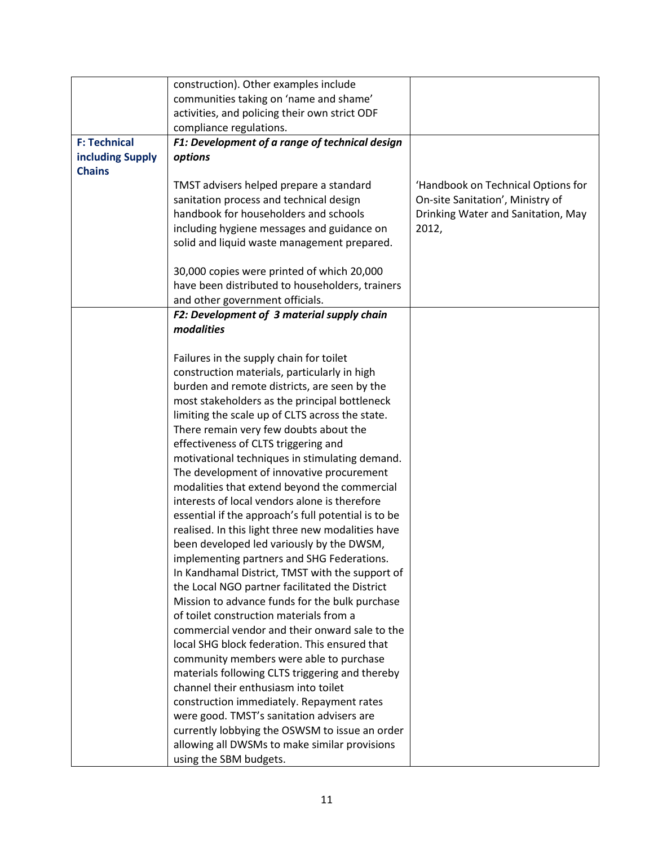|                     | construction). Other examples include                                                          |                                    |
|---------------------|------------------------------------------------------------------------------------------------|------------------------------------|
|                     | communities taking on 'name and shame'                                                         |                                    |
|                     | activities, and policing their own strict ODF                                                  |                                    |
|                     | compliance regulations.                                                                        |                                    |
| <b>F: Technical</b> | F1: Development of a range of technical design                                                 |                                    |
| including Supply    | options                                                                                        |                                    |
| <b>Chains</b>       |                                                                                                |                                    |
|                     | TMST advisers helped prepare a standard                                                        | 'Handbook on Technical Options for |
|                     | sanitation process and technical design                                                        | On-site Sanitation', Ministry of   |
|                     | handbook for householders and schools                                                          | Drinking Water and Sanitation, May |
|                     | including hygiene messages and guidance on                                                     | 2012,                              |
|                     | solid and liquid waste management prepared.                                                    |                                    |
|                     |                                                                                                |                                    |
|                     | 30,000 copies were printed of which 20,000                                                     |                                    |
|                     | have been distributed to householders, trainers                                                |                                    |
|                     | and other government officials.                                                                |                                    |
|                     | F2: Development of 3 material supply chain                                                     |                                    |
|                     | modalities                                                                                     |                                    |
|                     |                                                                                                |                                    |
|                     | Failures in the supply chain for toilet                                                        |                                    |
|                     | construction materials, particularly in high                                                   |                                    |
|                     | burden and remote districts, are seen by the                                                   |                                    |
|                     | most stakeholders as the principal bottleneck                                                  |                                    |
|                     | limiting the scale up of CLTS across the state.                                                |                                    |
|                     | There remain very few doubts about the                                                         |                                    |
|                     | effectiveness of CLTS triggering and                                                           |                                    |
|                     | motivational techniques in stimulating demand.                                                 |                                    |
|                     | The development of innovative procurement                                                      |                                    |
|                     | modalities that extend beyond the commercial<br>interests of local vendors alone is therefore  |                                    |
|                     |                                                                                                |                                    |
|                     | essential if the approach's full potential is to be                                            |                                    |
|                     | realised. In this light three new modalities have<br>been developed led variously by the DWSM, |                                    |
|                     | implementing partners and SHG Federations.                                                     |                                    |
|                     | In Kandhamal District, TMST with the support of                                                |                                    |
|                     | the Local NGO partner facilitated the District                                                 |                                    |
|                     | Mission to advance funds for the bulk purchase                                                 |                                    |
|                     | of toilet construction materials from a                                                        |                                    |
|                     | commercial vendor and their onward sale to the                                                 |                                    |
|                     | local SHG block federation. This ensured that                                                  |                                    |
|                     | community members were able to purchase                                                        |                                    |
|                     | materials following CLTS triggering and thereby                                                |                                    |
|                     | channel their enthusiasm into toilet                                                           |                                    |
|                     | construction immediately. Repayment rates                                                      |                                    |
|                     | were good. TMST's sanitation advisers are                                                      |                                    |
|                     | currently lobbying the OSWSM to issue an order                                                 |                                    |
|                     | allowing all DWSMs to make similar provisions                                                  |                                    |
|                     | using the SBM budgets.                                                                         |                                    |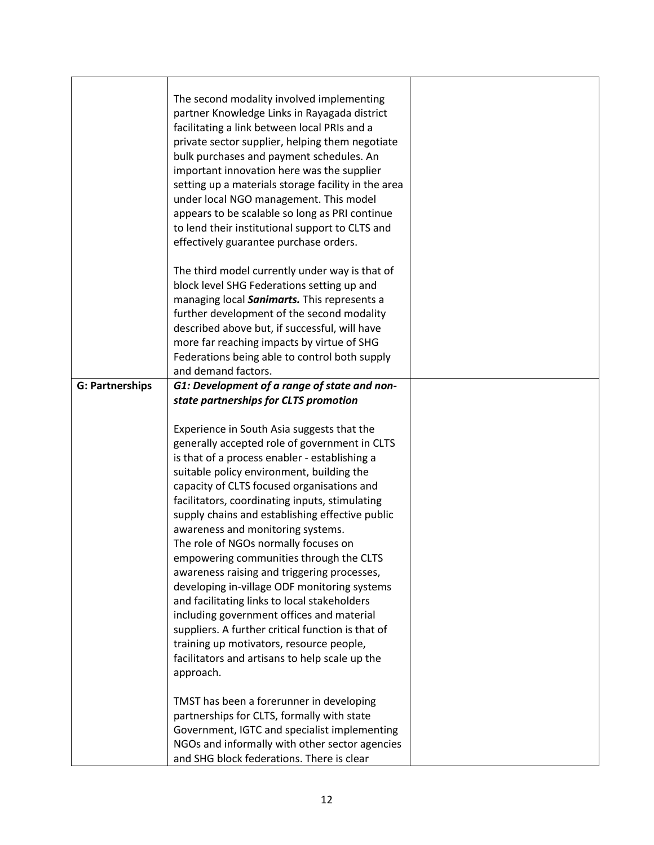|                        | The second modality involved implementing<br>partner Knowledge Links in Rayagada district<br>facilitating a link between local PRIs and a<br>private sector supplier, helping them negotiate<br>bulk purchases and payment schedules. An<br>important innovation here was the supplier<br>setting up a materials storage facility in the area<br>under local NGO management. This model<br>appears to be scalable so long as PRI continue<br>to lend their institutional support to CLTS and<br>effectively guarantee purchase orders. |  |
|------------------------|----------------------------------------------------------------------------------------------------------------------------------------------------------------------------------------------------------------------------------------------------------------------------------------------------------------------------------------------------------------------------------------------------------------------------------------------------------------------------------------------------------------------------------------|--|
|                        | The third model currently under way is that of<br>block level SHG Federations setting up and<br>managing local Sanimarts. This represents a<br>further development of the second modality<br>described above but, if successful, will have<br>more far reaching impacts by virtue of SHG<br>Federations being able to control both supply                                                                                                                                                                                              |  |
|                        | and demand factors.                                                                                                                                                                                                                                                                                                                                                                                                                                                                                                                    |  |
| <b>G: Partnerships</b> | G1: Development of a range of state and non-                                                                                                                                                                                                                                                                                                                                                                                                                                                                                           |  |
|                        | state partnerships for CLTS promotion                                                                                                                                                                                                                                                                                                                                                                                                                                                                                                  |  |
|                        |                                                                                                                                                                                                                                                                                                                                                                                                                                                                                                                                        |  |
|                        | Experience in South Asia suggests that the                                                                                                                                                                                                                                                                                                                                                                                                                                                                                             |  |
|                        | generally accepted role of government in CLTS                                                                                                                                                                                                                                                                                                                                                                                                                                                                                          |  |
|                        | is that of a process enabler - establishing a                                                                                                                                                                                                                                                                                                                                                                                                                                                                                          |  |
|                        | suitable policy environment, building the                                                                                                                                                                                                                                                                                                                                                                                                                                                                                              |  |
|                        | capacity of CLTS focused organisations and                                                                                                                                                                                                                                                                                                                                                                                                                                                                                             |  |
|                        | facilitators, coordinating inputs, stimulating                                                                                                                                                                                                                                                                                                                                                                                                                                                                                         |  |
|                        | supply chains and establishing effective public                                                                                                                                                                                                                                                                                                                                                                                                                                                                                        |  |
|                        | awareness and monitoring systems.                                                                                                                                                                                                                                                                                                                                                                                                                                                                                                      |  |
|                        | The role of NGOs normally focuses on                                                                                                                                                                                                                                                                                                                                                                                                                                                                                                   |  |
|                        | empowering communities through the CLTS                                                                                                                                                                                                                                                                                                                                                                                                                                                                                                |  |
|                        | awareness raising and triggering processes,                                                                                                                                                                                                                                                                                                                                                                                                                                                                                            |  |
|                        | developing in-village ODF monitoring systems                                                                                                                                                                                                                                                                                                                                                                                                                                                                                           |  |
|                        | and facilitating links to local stakeholders                                                                                                                                                                                                                                                                                                                                                                                                                                                                                           |  |
|                        | including government offices and material                                                                                                                                                                                                                                                                                                                                                                                                                                                                                              |  |
|                        | suppliers. A further critical function is that of                                                                                                                                                                                                                                                                                                                                                                                                                                                                                      |  |
|                        | training up motivators, resource people,                                                                                                                                                                                                                                                                                                                                                                                                                                                                                               |  |
|                        | facilitators and artisans to help scale up the                                                                                                                                                                                                                                                                                                                                                                                                                                                                                         |  |
|                        | approach.                                                                                                                                                                                                                                                                                                                                                                                                                                                                                                                              |  |
|                        | TMST has been a forerunner in developing                                                                                                                                                                                                                                                                                                                                                                                                                                                                                               |  |
|                        | partnerships for CLTS, formally with state                                                                                                                                                                                                                                                                                                                                                                                                                                                                                             |  |
|                        | Government, IGTC and specialist implementing                                                                                                                                                                                                                                                                                                                                                                                                                                                                                           |  |
|                        | NGOs and informally with other sector agencies                                                                                                                                                                                                                                                                                                                                                                                                                                                                                         |  |
|                        | and SHG block federations. There is clear                                                                                                                                                                                                                                                                                                                                                                                                                                                                                              |  |